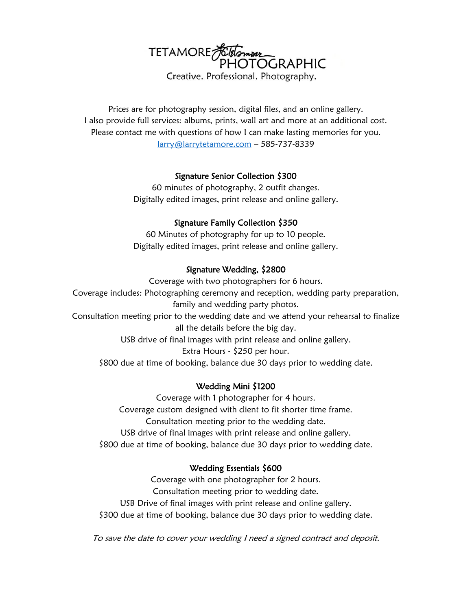TETAMORE FORMALL Creative. Professional. Photography.

Prices are for photography session, digital files, and an online gallery. I also provide full services: albums, prints, wall art and more at an additional cost. Please contact me with questions of how I can make lasting memories for you. [larry@larrytetamore.com](mailto:larry@larrytetamore.com) – 585-737-8339

# Signature Senior Collection \$300

60 minutes of photography, 2 outfit changes. Digitally edited images, print release and online gallery.

### Signature Family Collection \$350

60 Minutes of photography for up to 10 people. Digitally edited images, print release and online gallery.

### Signature Wedding, \$2800

Coverage with two photographers for 6 hours. Coverage includes: Photographing ceremony and reception, wedding party preparation, family and wedding party photos. Consultation meeting prior to the wedding date and we attend your rehearsal to finalize all the details before the big day. USB drive of final images with print release and online gallery. Extra Hours - \$250 per hour. \$800 due at time of booking, balance due 30 days prior to wedding date.

### Wedding Mini \$1200

Coverage with 1 photographer for 4 hours. Coverage custom designed with client to fit shorter time frame. Consultation meeting prior to the wedding date. USB drive of final images with print release and online gallery. \$800 due at time of booking, balance due 30 days prior to wedding date.

### Wedding Essentials \$600

Coverage with one photographer for 2 hours. Consultation meeting prior to wedding date. USB Drive of final images with print release and online gallery. \$300 due at time of booking, balance due 30 days prior to wedding date.

To save the date to cover your wedding I need a signed contract and deposit.